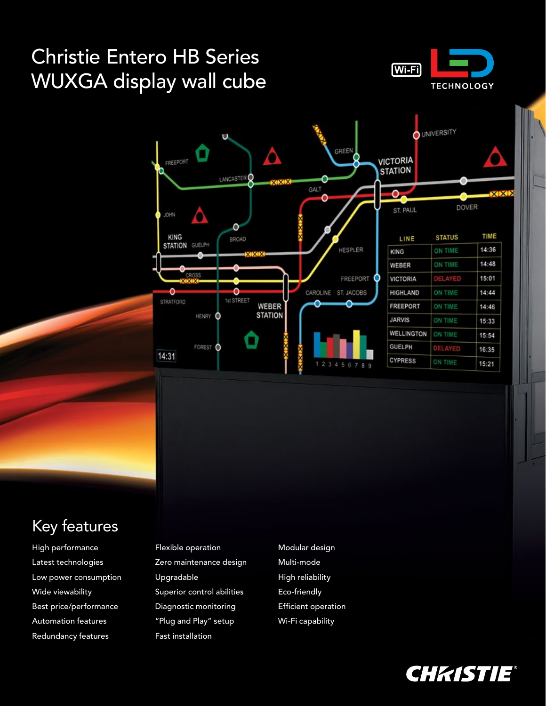# Christie Entero HB Series WUXGA display wall cube





### Key features

High performance Latest technologies Low power consumption Wide viewability Best price/performance Automation features Redundancy features

Flexible operation Zero maintenance design Upgradable Superior control abilities Diagnostic monitoring "Plug and Play" setup Fast installation

Modular design Multi-mode High reliability Eco-friendly Efficient operation Wi-Fi capability

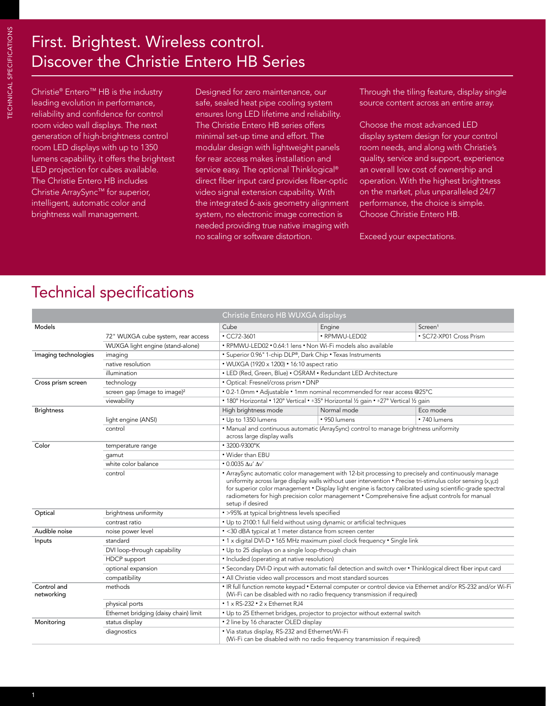## First. Brightest. Wireless control. Discover the Christie Entero HB Series

Christie® Entero™ HB is the industry leading evolution in performance, reliability and confidence for control room video wall displays. The next generation of high-brightness control room LED displays with up to 1350 lumens capability, it offers the brightest LED projection for cubes available. The Christie Entero HB includes Christie ArraySync™ for superior, intelligent, automatic color and brightness wall management.

Designed for zero maintenance, our safe, sealed heat pipe cooling system ensures long LED lifetime and reliability. The Christie Entero HB series offers minimal set-up time and effort. The modular design with lightweight panels for rear access makes installation and service easy. The optional Thinklogical® direct fiber input card provides fiber-optic video signal extension capability. With the integrated 6-axis geometry alignment system, no electronic image correction is needed providing true native imaging with no scaling or software distortion.

Through the tiling feature, display single source content across an entire array.

Choose the most advanced LED display system design for your control room needs, and along with Christie's quality, service and support, experience an overall low cost of ownership and operation. With the highest brightness on the market, plus unparalleled 24/7 performance, the choice is simple. Choose Christie Entero HB.

Exceed your expectations.

### Technical specifications

|                           |                                          | Christie Entero HB WUXGA displays                                                                                                                                                                                                                                                                                                                                                                                                                               |                                                                                                                             |                         |  |  |
|---------------------------|------------------------------------------|-----------------------------------------------------------------------------------------------------------------------------------------------------------------------------------------------------------------------------------------------------------------------------------------------------------------------------------------------------------------------------------------------------------------------------------------------------------------|-----------------------------------------------------------------------------------------------------------------------------|-------------------------|--|--|
| Models                    |                                          | Cube                                                                                                                                                                                                                                                                                                                                                                                                                                                            | Engine                                                                                                                      | Screen <sup>1</sup>     |  |  |
|                           | 72" WUXGA cube system, rear access       | $\cdot$ CC72-3601                                                                                                                                                                                                                                                                                                                                                                                                                                               | • RPMWU-LED02                                                                                                               | · SC72-XP01 Cross Prism |  |  |
|                           | WUXGA light engine (stand-alone)         |                                                                                                                                                                                                                                                                                                                                                                                                                                                                 | • RPMWU-LED02 • 0.64:1 lens • Non Wi-Fi models also available                                                               |                         |  |  |
| Imaging technologies      | imaging                                  | • Superior 0.96" 1-chip DLP®, Dark Chip • Texas Instruments                                                                                                                                                                                                                                                                                                                                                                                                     |                                                                                                                             |                         |  |  |
|                           | native resolution                        | • WUXGA (1920 x 1200) • 16:10 aspect ratio                                                                                                                                                                                                                                                                                                                                                                                                                      |                                                                                                                             |                         |  |  |
|                           | illumination                             | • LED (Red, Green, Blue) • OSRAM • Redundant LED Architecture                                                                                                                                                                                                                                                                                                                                                                                                   |                                                                                                                             |                         |  |  |
| Cross prism screen        | technology                               | · Optical: Fresnel/cross prism · DNP                                                                                                                                                                                                                                                                                                                                                                                                                            |                                                                                                                             |                         |  |  |
|                           | screen gap (image to image) <sup>2</sup> | . 0.2-1.0mm . Adjustable . 1mm nominal recommended for rear access @25°C                                                                                                                                                                                                                                                                                                                                                                                        |                                                                                                                             |                         |  |  |
|                           | viewability                              | • 180° Horizontal • 120° Vertical • ±35° Horizontal 1/2 gain • ±27° Vertical 1/2 gain                                                                                                                                                                                                                                                                                                                                                                           |                                                                                                                             |                         |  |  |
| <b>Brightness</b>         |                                          | High brightness mode                                                                                                                                                                                                                                                                                                                                                                                                                                            | Normal mode                                                                                                                 | Eco mode                |  |  |
|                           | light engine (ANSI)                      | • Up to 1350 lumens                                                                                                                                                                                                                                                                                                                                                                                                                                             | · 950 lumens                                                                                                                | • 740 lumens            |  |  |
|                           | control                                  | • Manual and continuous automatic (ArraySync) control to manage brightness uniformity<br>across large display walls                                                                                                                                                                                                                                                                                                                                             |                                                                                                                             |                         |  |  |
| Color                     | temperature range                        | • 3200-9300°K                                                                                                                                                                                                                                                                                                                                                                                                                                                   |                                                                                                                             |                         |  |  |
|                           | qamut                                    | • Wider than EBU                                                                                                                                                                                                                                                                                                                                                                                                                                                |                                                                                                                             |                         |  |  |
|                           | white color balance                      | $\cdot$ 0.0035 Au' Av'                                                                                                                                                                                                                                                                                                                                                                                                                                          |                                                                                                                             |                         |  |  |
|                           | control                                  | • ArraySync automatic color management with 12-bit processing to precisely and continuously manage<br>uniformity across large display walls without user intervention $\cdot$ Precise tri-stimulus color sensing $(x,y,z)$<br>for superior color management • Display light engine is factory calibrated using scientific-grade spectral<br>radiometers for high precision color management • Comprehensive fine adjust controls for manual<br>setup if desired |                                                                                                                             |                         |  |  |
| Optical                   | brightness uniformity                    | • >95% at typical brightness levels specified                                                                                                                                                                                                                                                                                                                                                                                                                   |                                                                                                                             |                         |  |  |
|                           | contrast ratio                           | . Up to 2100:1 full field without using dynamic or artificial techniques                                                                                                                                                                                                                                                                                                                                                                                        |                                                                                                                             |                         |  |  |
| Audible noise             | noise power level                        | · <30 dBA typical at 1 meter distance from screen center                                                                                                                                                                                                                                                                                                                                                                                                        |                                                                                                                             |                         |  |  |
| Inputs                    | standard                                 | . 1 x digital DVI-D . 165 MHz maximum pixel clock frequency . Single link                                                                                                                                                                                                                                                                                                                                                                                       |                                                                                                                             |                         |  |  |
|                           | DVI loop-through capability              | • Up to 25 displays on a single loop-through chain                                                                                                                                                                                                                                                                                                                                                                                                              |                                                                                                                             |                         |  |  |
|                           | HDCP support                             | • Included (operating at native resolution)                                                                                                                                                                                                                                                                                                                                                                                                                     |                                                                                                                             |                         |  |  |
|                           | optional expansion                       | • Secondary DVI-D input with automatic fail detection and switch over • Thinklogical direct fiber input card                                                                                                                                                                                                                                                                                                                                                    |                                                                                                                             |                         |  |  |
|                           | compatibility                            | • All Christie video wall processors and most standard sources                                                                                                                                                                                                                                                                                                                                                                                                  |                                                                                                                             |                         |  |  |
| Control and<br>networking | methods                                  | . IR full function remote keypad . External computer or control device via Ethernet and/or RS-232 and/or Wi-Fi<br>(Wi-Fi can be disabled with no radio frequency transmission if required)                                                                                                                                                                                                                                                                      |                                                                                                                             |                         |  |  |
|                           | physical ports                           | • 1 x RS-232 • 2 x Ethernet RJ4                                                                                                                                                                                                                                                                                                                                                                                                                                 |                                                                                                                             |                         |  |  |
|                           | Ethernet bridging (daisy chain) limit    | . Up to 25 Ethernet bridges, projector to projector without external switch                                                                                                                                                                                                                                                                                                                                                                                     |                                                                                                                             |                         |  |  |
| Monitoring                | status display                           | . 2 line by 16 character OLED display                                                                                                                                                                                                                                                                                                                                                                                                                           |                                                                                                                             |                         |  |  |
|                           | diagnostics                              |                                                                                                                                                                                                                                                                                                                                                                                                                                                                 | . Via status display, RS-232 and Ethernet/Wi-Fi<br>(Wi-Fi can be disabled with no radio frequency transmission if required) |                         |  |  |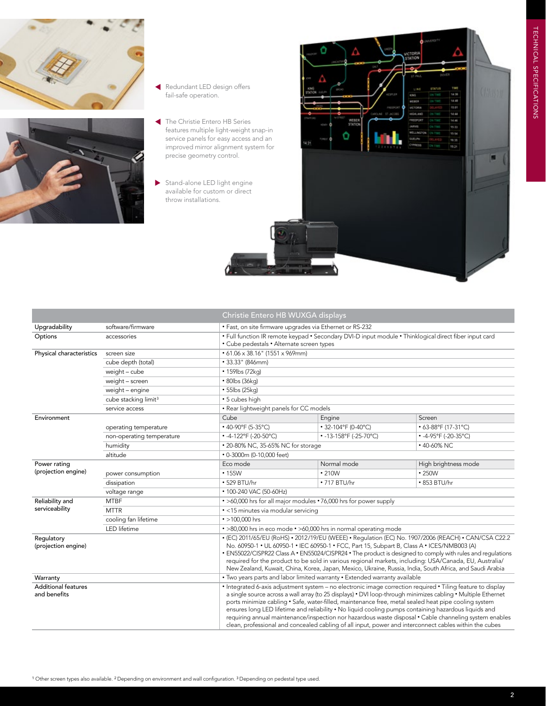



- Redundant LED design offers fail-safe operation.
- The Christie Entero HB Series features multiple light-weight snap-in service panels for easy access and an improved mirror alignment system for precise geometry control.
- Stand-alone LED light engine available for custom or direct throw installations.



|                                            |                                                                            | Christie Entero HB WUXGA displays                                                                                                                                                                                                                                                                                                                                                                                                                                                                                                                                                                                                                                |                        |                                      |  |  |
|--------------------------------------------|----------------------------------------------------------------------------|------------------------------------------------------------------------------------------------------------------------------------------------------------------------------------------------------------------------------------------------------------------------------------------------------------------------------------------------------------------------------------------------------------------------------------------------------------------------------------------------------------------------------------------------------------------------------------------------------------------------------------------------------------------|------------------------|--------------------------------------|--|--|
| Upgradability                              | software/firmware                                                          | • Fast, on site firmware upgrades via Ethernet or RS-232                                                                                                                                                                                                                                                                                                                                                                                                                                                                                                                                                                                                         |                        |                                      |  |  |
| Options                                    | accessories                                                                | . Full function IR remote keypad . Secondary DVI-D input module . Thinklogical direct fiber input card<br>• Cube pedestals • Alternate screen types                                                                                                                                                                                                                                                                                                                                                                                                                                                                                                              |                        |                                      |  |  |
| Physical characteristics                   | screen size                                                                | $\cdot$ 61.06 x 38.16" (1551 x 969mm)                                                                                                                                                                                                                                                                                                                                                                                                                                                                                                                                                                                                                            |                        |                                      |  |  |
|                                            | cube depth (total)                                                         | • 33.33" (846mm)                                                                                                                                                                                                                                                                                                                                                                                                                                                                                                                                                                                                                                                 |                        |                                      |  |  |
|                                            | weight - cube                                                              | • 159lbs (72kg)                                                                                                                                                                                                                                                                                                                                                                                                                                                                                                                                                                                                                                                  |                        |                                      |  |  |
|                                            | weight - screen                                                            | • 80lbs (36kg)                                                                                                                                                                                                                                                                                                                                                                                                                                                                                                                                                                                                                                                   |                        |                                      |  |  |
|                                            | weight - engine                                                            | $\cdot$ 55lbs (25kg)                                                                                                                                                                                                                                                                                                                                                                                                                                                                                                                                                                                                                                             |                        |                                      |  |  |
|                                            | cube stacking limit <sup>3</sup>                                           | · 5 cubes high                                                                                                                                                                                                                                                                                                                                                                                                                                                                                                                                                                                                                                                   |                        |                                      |  |  |
|                                            | service access                                                             | • Rear lightweight panels for CC models                                                                                                                                                                                                                                                                                                                                                                                                                                                                                                                                                                                                                          |                        |                                      |  |  |
| Environment                                |                                                                            | Cube                                                                                                                                                                                                                                                                                                                                                                                                                                                                                                                                                                                                                                                             | Engine                 | Screen                               |  |  |
|                                            | operating temperature                                                      | $\cdot$ 40-90°F (5-35°C)                                                                                                                                                                                                                                                                                                                                                                                                                                                                                                                                                                                                                                         | • 32-104°F (0-40°C)    | • 63-88°F (17-31°C)                  |  |  |
|                                            | non-operating temperature                                                  | • -4-122°F (-20-50°C)                                                                                                                                                                                                                                                                                                                                                                                                                                                                                                                                                                                                                                            | • -13-158°F (-25-70°C) | • $-4-95^{\circ}F (-20-35^{\circ}C)$ |  |  |
|                                            | humidity                                                                   | • 20-80% NC, 35-65% NC for storage<br>$\cdot$ 40-60% NC                                                                                                                                                                                                                                                                                                                                                                                                                                                                                                                                                                                                          |                        |                                      |  |  |
|                                            | altitude                                                                   | • 0-3000m (0-10,000 feet)                                                                                                                                                                                                                                                                                                                                                                                                                                                                                                                                                                                                                                        |                        |                                      |  |  |
| Power rating<br>(projection engine)        |                                                                            | Eco mode                                                                                                                                                                                                                                                                                                                                                                                                                                                                                                                                                                                                                                                         | Normal mode            | High brightness mode                 |  |  |
|                                            | power consumption                                                          | • 155W                                                                                                                                                                                                                                                                                                                                                                                                                                                                                                                                                                                                                                                           | $\cdot$ 210W           | $\cdot$ 250W                         |  |  |
|                                            | dissipation                                                                | • 529 BTU/hr                                                                                                                                                                                                                                                                                                                                                                                                                                                                                                                                                                                                                                                     | $\cdot$ 717 BTU/hr     | • 853 BTU/hr                         |  |  |
|                                            | voltage range                                                              | • 100-240 VAC (50-60Hz)                                                                                                                                                                                                                                                                                                                                                                                                                                                                                                                                                                                                                                          |                        |                                      |  |  |
| Reliability and                            | <b>MTBF</b>                                                                | . >60,000 hrs for all major modules . 76,000 hrs for power supply                                                                                                                                                                                                                                                                                                                                                                                                                                                                                                                                                                                                |                        |                                      |  |  |
| serviceability                             | <b>MTTR</b>                                                                | · <15 minutes via modular servicing                                                                                                                                                                                                                                                                                                                                                                                                                                                                                                                                                                                                                              |                        |                                      |  |  |
|                                            | cooling fan lifetime                                                       | $\cdot$ >100.000 hrs                                                                                                                                                                                                                                                                                                                                                                                                                                                                                                                                                                                                                                             |                        |                                      |  |  |
|                                            | LED lifetime                                                               | • >80,000 hrs in eco mode • >60,000 hrs in normal operating mode                                                                                                                                                                                                                                                                                                                                                                                                                                                                                                                                                                                                 |                        |                                      |  |  |
| Regulatory<br>(projection engine)          |                                                                            | • (EC) 2011/65/EU (RoHS) • 2012/19/EU (WEEE) • Requlation (EC) No. 1907/2006 (REACH) • CAN/CSA C22.2<br>No. 60950-1 • UL 60950-1 • IEC 60950-1 • FCC, Part 15, Subpart B, Class A • ICES/NMB003 (A)<br>• EN55022/CISPR22 Class A • EN55024/CISPR24 • The product is designed to comply with rules and regulations<br>required for the product to be sold in various regional markets, including: USA/Canada, EU, Australia/<br>New Zealand, Kuwait, China, Korea, Japan, Mexico, Ukraine, Russia, India, South Africa, and Saudi Arabia                                                                                                                          |                        |                                      |  |  |
| Warranty                                   | . Two years parts and labor limited warranty . Extended warranty available |                                                                                                                                                                                                                                                                                                                                                                                                                                                                                                                                                                                                                                                                  |                        |                                      |  |  |
| <b>Additional features</b><br>and benefits |                                                                            | • Integrated 6-axis adjustment system - no electronic image correction required • Tiling feature to display<br>a single source across a wall array (to 25 displays) • DVI loop-through minimizes cabling • Multiple Ethernet<br>ports minimize cabling • Safe, water-filled, maintenance free, metal sealed heat pipe cooling system<br>ensures long LED lifetime and reliability • No liquid cooling pumps containing hazardous liquids and<br>requiring annual maintenance/inspection nor hazardous waste disposal • Cable channeling system enables<br>clean, professional and concealed cabling of all input, power and interconnect cables within the cubes |                        |                                      |  |  |